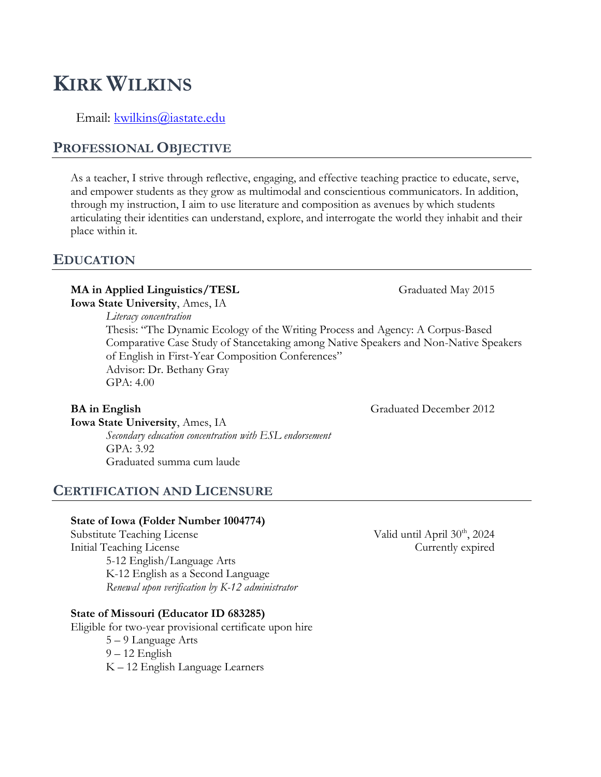# **KIRK WILKINS**

Email: [kwilkins@iastate.edu](mailto:kwilkins@iastate.edu)

## **PROFESSIONAL OBJECTIVE**

As a teacher, I strive through reflective, engaging, and effective teaching practice to educate, serve, and empower students as they grow as multimodal and conscientious communicators. In addition, through my instruction, I aim to use literature and composition as avenues by which students articulating their identities can understand, explore, and interrogate the world they inhabit and their place within it.

#### **EDUCATION**

#### **MA in Applied Linguistics/TESL** Graduated May 2015

**Iowa State University**, Ames, IA *Literacy concentration* Thesis: "The Dynamic Ecology of the Writing Process and Agency: A Corpus-Based Comparative Case Study of Stancetaking among Native Speakers and Non-Native Speakers of English in First-Year Composition Conferences" Advisor: Dr. Bethany Gray GPA: 4.00

**BA in English** Graduated December 2012

**Iowa State University**, Ames, IA *Secondary education concentration with ESL endorsement* GPA: 3.92 Graduated summa cum laude

### **CERTIFICATION AND LICENSURE**

#### **State of Iowa (Folder Number 1004774)**

Substitute Teaching License Valid until April 30<sup>th</sup>, 2024 Initial Teaching License Currently expired 5-12 English/Language Arts K-12 English as a Second Language *Renewal upon verification by K-12 administrator*

#### **State of Missouri (Educator ID 683285)**

Eligible for two-year provisional certificate upon hire 5 – 9 Language Arts 9 – 12 English K – 12 English Language Learners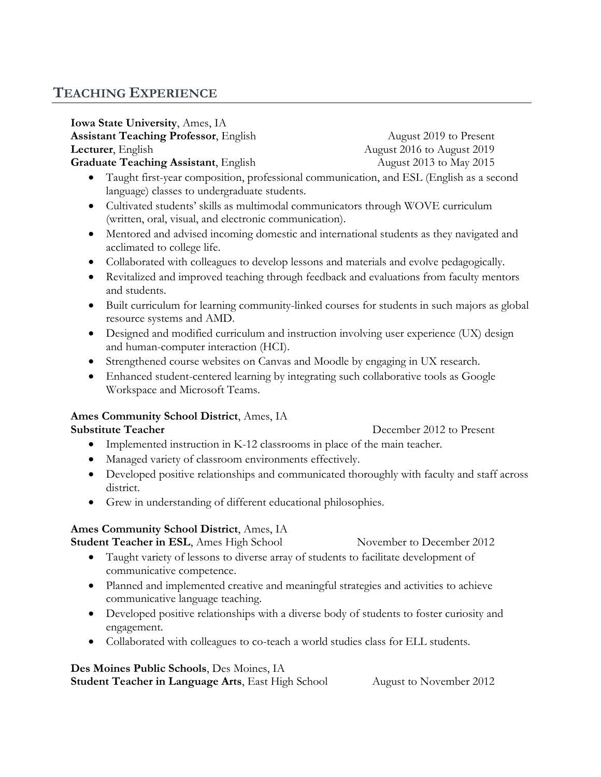## **TEACHING EXPERIENCE**

**Iowa State University**, Ames, IA **Assistant Teaching Professor, English August 2019 to Present Lecturer**, English **August 2016** to August 2019 Graduate Teaching Assistant, English August 2013 to May 2015

- Taught first-year composition, professional communication, and ESL (English as a second language) classes to undergraduate students.
- Cultivated students' skills as multimodal communicators through WOVE curriculum (written, oral, visual, and electronic communication).
- Mentored and advised incoming domestic and international students as they navigated and acclimated to college life.
- Collaborated with colleagues to develop lessons and materials and evolve pedagogically.
- Revitalized and improved teaching through feedback and evaluations from faculty mentors and students.
- Built curriculum for learning community-linked courses for students in such majors as global resource systems and AMD.
- Designed and modified curriculum and instruction involving user experience (UX) design and human-computer interaction (HCI).
- Strengthened course websites on Canvas and Moodle by engaging in UX research.
- Enhanced student-centered learning by integrating such collaborative tools as Google Workspace and Microsoft Teams.

### **Ames Community School District**, Ames, IA

#### **Substitute Teacher December 2012 to Present**

- Implemented instruction in K-12 classrooms in place of the main teacher.
- Managed variety of classroom environments effectively.
- Developed positive relationships and communicated thoroughly with faculty and staff across district.
- Grew in understanding of different educational philosophies.

### **Ames Community School District**, Ames, IA

**Student Teacher in ESL**, Ames High School November to December 2012

- Taught variety of lessons to diverse array of students to facilitate development of communicative competence.
- Planned and implemented creative and meaningful strategies and activities to achieve communicative language teaching.
- Developed positive relationships with a diverse body of students to foster curiosity and engagement.
- Collaborated with colleagues to co-teach a world studies class for ELL students.

### **Des Moines Public Schools**, Des Moines, IA

**Student Teacher in Language Arts**, East High School August to November 2012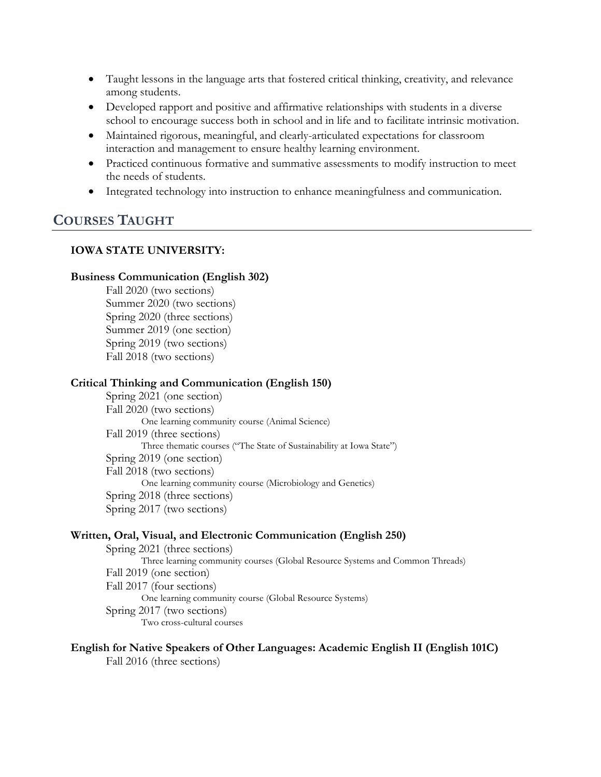- Taught lessons in the language arts that fostered critical thinking, creativity, and relevance among students.
- Developed rapport and positive and affirmative relationships with students in a diverse school to encourage success both in school and in life and to facilitate intrinsic motivation.
- Maintained rigorous, meaningful, and clearly-articulated expectations for classroom interaction and management to ensure healthy learning environment.
- Practiced continuous formative and summative assessments to modify instruction to meet the needs of students.
- Integrated technology into instruction to enhance meaningfulness and communication.

## **COURSES TAUGHT**

#### **IOWA STATE UNIVERSITY:**

#### **Business Communication (English 302)**

Fall 2020 (two sections) Summer 2020 (two sections) Spring 2020 (three sections) Summer 2019 (one section) Spring 2019 (two sections) Fall 2018 (two sections)

#### **Critical Thinking and Communication (English 150)**

Spring 2021 (one section) Fall 2020 (two sections) One learning community course (Animal Science) Fall 2019 (three sections) Three thematic courses ("The State of Sustainability at Iowa State") Spring 2019 (one section) Fall 2018 (two sections) One learning community course (Microbiology and Genetics) Spring 2018 (three sections) Spring 2017 (two sections)

#### **Written, Oral, Visual, and Electronic Communication (English 250)**

Spring 2021 (three sections) Three learning community courses (Global Resource Systems and Common Threads) Fall 2019 (one section) Fall 2017 (four sections) One learning community course (Global Resource Systems) Spring 2017 (two sections) Two cross-cultural courses

## **English for Native Speakers of Other Languages: Academic English II (English 101C)**

Fall 2016 (three sections)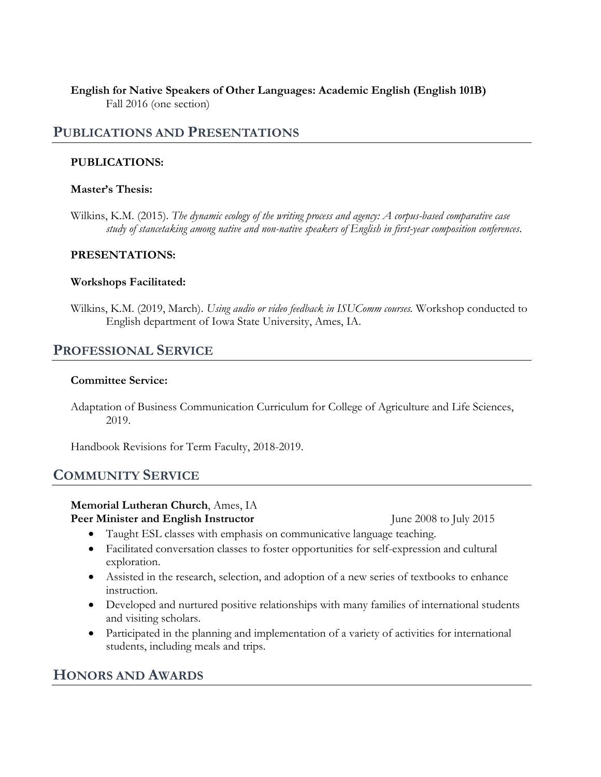#### **English for Native Speakers of Other Languages: Academic English (English 101B)** Fall 2016 (one section)

#### **PUBLICATIONS AND PRESENTATIONS**

#### **PUBLICATIONS:**

#### **Master's Thesis:**

Wilkins, K.M. (2015). *The dynamic ecology of the writing process and agency: A corpus-based comparative case study of stancetaking among native and non-native speakers of English in first-year composition conferences*.

#### **PRESENTATIONS:**

#### **Workshops Facilitated:**

Wilkins, K.M. (2019, March). *Using audio or video feedback in ISUComm courses.* Workshop conducted to English department of Iowa State University, Ames, IA.

## **PROFESSIONAL SERVICE**

#### **Committee Service:**

Adaptation of Business Communication Curriculum for College of Agriculture and Life Sciences, 2019.

Handbook Revisions for Term Faculty, 2018-2019.

### **COMMUNITY SERVICE**

#### **Memorial Lutheran Church**, Ames, IA

**Peer Minister and English Instructor** June 2008 to July 2015

- Taught ESL classes with emphasis on communicative language teaching.
- Facilitated conversation classes to foster opportunities for self-expression and cultural exploration.
- Assisted in the research, selection, and adoption of a new series of textbooks to enhance instruction.
- Developed and nurtured positive relationships with many families of international students and visiting scholars.
- Participated in the planning and implementation of a variety of activities for international students, including meals and trips.

## **HONORS AND AWARDS**